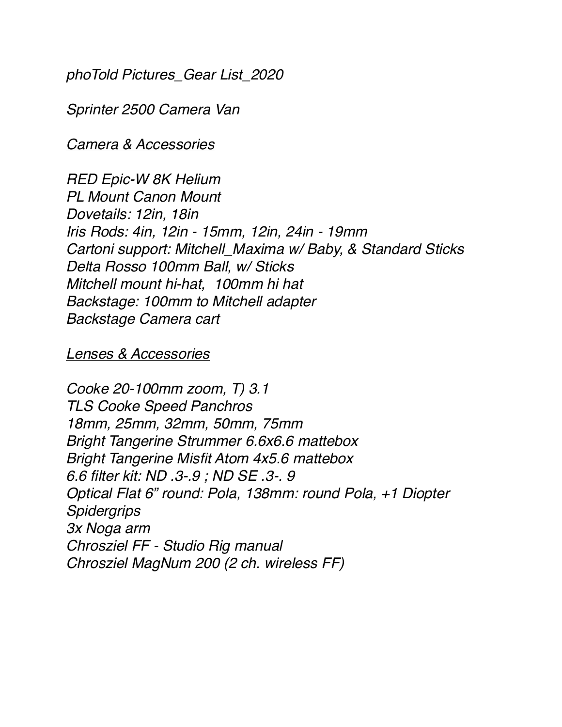*phoTold Pictures\_Gear List\_2020*

*Sprinter 2500 Camera Van*

*Camera & Accessories*

*RED Epic-W 8K Helium PL Mount Canon Mount Dovetails: 12in, 18in Iris Rods: 4in, 12in - 15mm, 12in, 24in - 19mm Cartoni support: Mitchell\_Maxima w/ Baby, & Standard Sticks Delta Rosso 100mm Ball, w/ Sticks Mitchell mount hi-hat, 100mm hi hat Backstage: 100mm to Mitchell adapter Backstage Camera cart*

#### *Lenses & Accessories*

*Cooke 20-100mm zoom, T) 3.1 TLS Cooke Speed Panchros 18mm, 25mm, 32mm, 50mm, 75mm Bright Tangerine Strummer 6.6x6.6 mattebox Bright Tangerine Misfit Atom 4x5.6 mattebox 6.6 filter kit: ND .3-.9 ; ND SE .3-. 9 Optical Flat 6" round: Pola, 138mm: round Pola, +1 Diopter Spidergrips 3x Noga arm Chrosziel FF - Studio Rig manual Chrosziel MagNum 200 (2 ch. wireless FF)*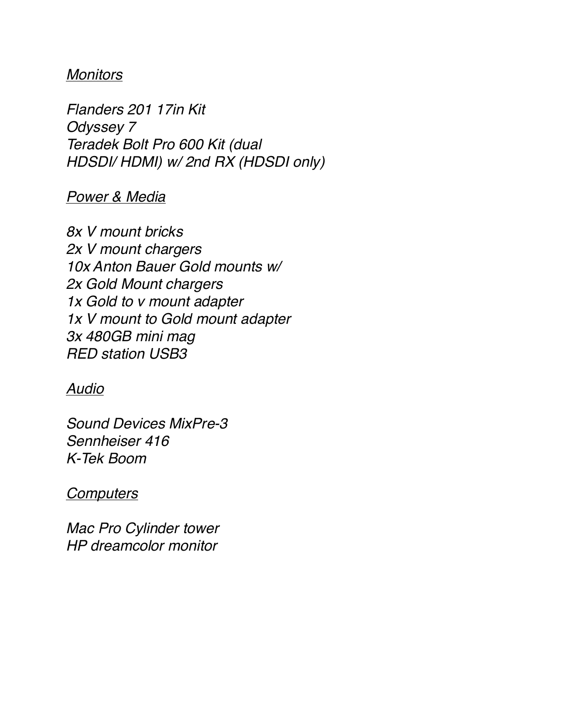## *Monitors*

*Flanders 201 17in Kit Odyssey 7 Teradek Bolt Pro 600 Kit (dual HDSDI/ HDMI) w/ 2nd RX (HDSDI only)*

### *Power & Media*

*8x V mount bricks 2x V mount chargers 10x Anton Bauer Gold mounts w/ 2x Gold Mount chargers 1x Gold to v mount adapter 1x V mount to Gold mount adapter 3x 480GB mini mag RED station USB3*

### *Audio*

*Sound Devices MixPre-3 Sennheiser 416 K-Tek Boom*

### *Computers*

*Mac Pro Cylinder tower HP dreamcolor monitor*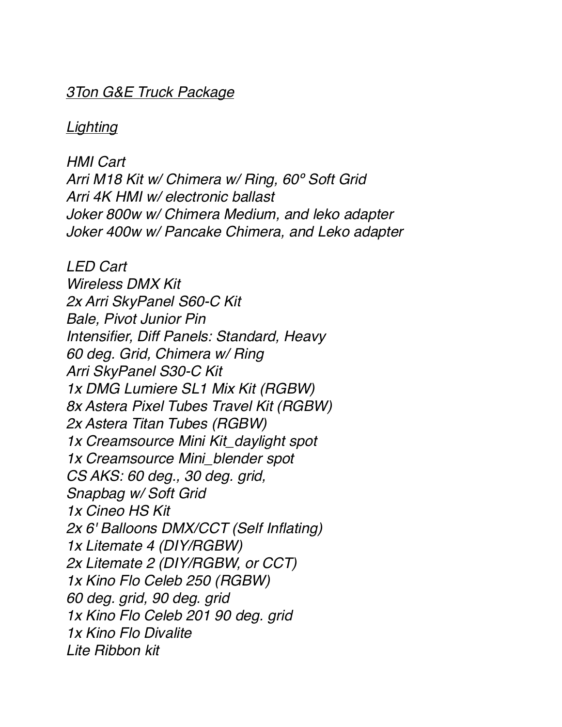#### *3Ton G&E Truck Package*

*Lighting*

*HMI Cart Arri M18 Kit w/ Chimera w/ Ring, 60º Soft Grid Arri 4K HMI w/ electronic ballast Joker 800w w/ Chimera Medium, and leko adapter Joker 400w w/ Pancake Chimera, and Leko adapter*

*LED Cart Wireless DMX Kit 2x Arri SkyPanel S60-C Kit Bale, Pivot Junior Pin Intensifier, Diff Panels: Standard, Heavy 60 deg. Grid, Chimera w/ Ring Arri SkyPanel S30-C Kit 1x DMG Lumiere SL1 Mix Kit (RGBW) 8x Astera Pixel Tubes Travel Kit (RGBW) 2x Astera Titan Tubes (RGBW) 1x Creamsource Mini Kit\_daylight spot 1x Creamsource Mini\_blender spot CS AKS: 60 deg., 30 deg. grid, Snapbag w/ Soft Grid 1x Cineo HS Kit 2x 6' Balloons DMX/CCT (Self Inflating) 1x Litemate 4 (DIY/RGBW) 2x Litemate 2 (DIY/RGBW, or CCT) 1x Kino Flo Celeb 250 (RGBW) 60 deg. grid, 90 deg. grid 1x Kino Flo Celeb 201 90 deg. grid 1x Kino Flo Divalite Lite Ribbon kit*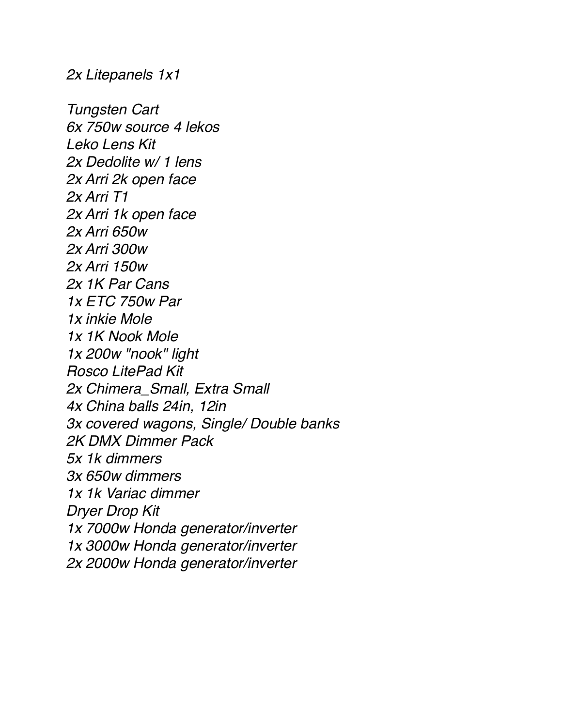*2x Litepanels 1x1*

*Tungsten Cart 6x 750w source 4 lekos Leko Lens Kit 2x Dedolite w/ 1 lens 2x Arri 2k open face 2x Arri T1 2x Arri 1k open face 2x Arri 650w 2x Arri 300w 2x Arri 150w 2x 1K Par Cans 1x ETC 750w Par 1x inkie Mole 1x 1K Nook Mole 1x 200w "nook" light Rosco LitePad Kit 2x Chimera\_Small, Extra Small 4x China balls 24in, 12in 3x covered wagons, Single/ Double banks 2K DMX Dimmer Pack 5x 1k dimmers 3x 650w dimmers 1x 1k Variac dimmer Dryer Drop Kit 1x 7000w Honda generator/inverter 1x 3000w Honda generator/inverter 2x 2000w Honda generator/inverter*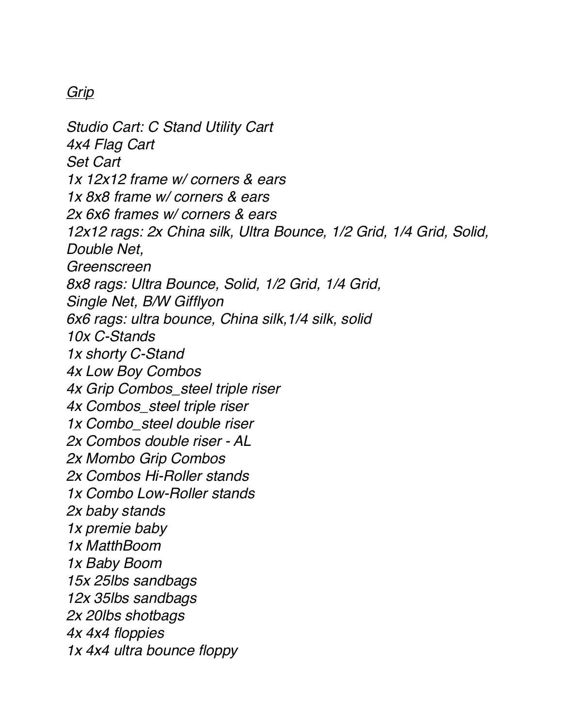# *Grip*

*Studio Cart: C Stand Utility Cart 4x4 Flag Cart Set Cart 1x 12x12 frame w/ corners & ears 1x 8x8 frame w/ corners & ears 2x 6x6 frames w/ corners & ears 12x12 rags: 2x China silk, Ultra Bounce, 1/2 Grid, 1/4 Grid, Solid, Double Net, Greenscreen 8x8 rags: Ultra Bounce, Solid, 1/2 Grid, 1/4 Grid, Single Net, B/W Gifflyon 6x6 rags: ultra bounce, China silk,1/4 silk, solid 10x C-Stands 1x shorty C-Stand 4x Low Boy Combos 4x Grip Combos\_steel triple riser 4x Combos\_steel triple riser 1x Combo\_steel double riser 2x Combos double riser - AL 2x Mombo Grip Combos 2x Combos Hi-Roller stands 1x Combo Low-Roller stands 2x baby stands 1x premie baby 1x MatthBoom 1x Baby Boom 15x 25lbs sandbags 12x 35lbs sandbags 2x 20lbs shotbags 4x 4x4 floppies 1x 4x4 ultra bounce floppy*